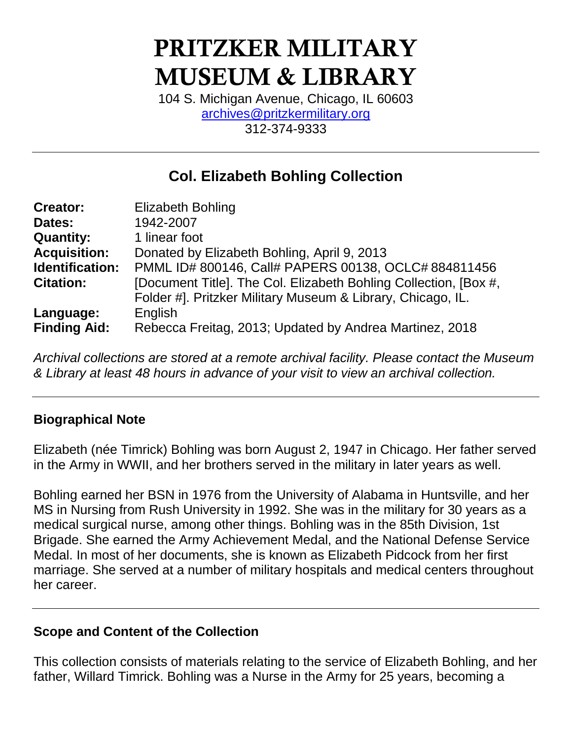# **PRITZKER MILITARY MUSEUM & LIBRARY**

104 S. Michigan Avenue, Chicago, IL 60603 [archives@pritzkermilitary.org](mailto:archives@pritzkermilitary.org) 312-374-9333

# **Col. Elizabeth Bohling Collection**

| <b>Creator:</b>     | <b>Elizabeth Bohling</b>                                         |
|---------------------|------------------------------------------------------------------|
| Dates:              | 1942-2007                                                        |
| <b>Quantity:</b>    | 1 linear foot                                                    |
| <b>Acquisition:</b> | Donated by Elizabeth Bohling, April 9, 2013                      |
| Identification:     | PMML ID# 800146, Call# PAPERS 00138, OCLC# 884811456             |
| <b>Citation:</b>    | [Document Title]. The Col. Elizabeth Bohling Collection, [Box #, |
|                     | Folder #]. Pritzker Military Museum & Library, Chicago, IL.      |
| Language:           | English                                                          |
| <b>Finding Aid:</b> | Rebecca Freitag, 2013; Updated by Andrea Martinez, 2018          |

*Archival collections are stored at a remote archival facility. Please contact the Museum & Library at least 48 hours in advance of your visit to view an archival collection.*

# **Biographical Note**

Elizabeth (née Timrick) Bohling was born August 2, 1947 in Chicago. Her father served in the Army in WWII, and her brothers served in the military in later years as well.

Bohling earned her BSN in 1976 from the University of Alabama in Huntsville, and her MS in Nursing from Rush University in 1992. She was in the military for 30 years as a medical surgical nurse, among other things. Bohling was in the 85th Division, 1st Brigade. She earned the Army Achievement Medal, and the National Defense Service Medal. In most of her documents, she is known as Elizabeth Pidcock from her first marriage. She served at a number of military hospitals and medical centers throughout her career.

# **Scope and Content of the Collection**

This collection consists of materials relating to the service of Elizabeth Bohling, and her father, Willard Timrick. Bohling was a Nurse in the Army for 25 years, becoming a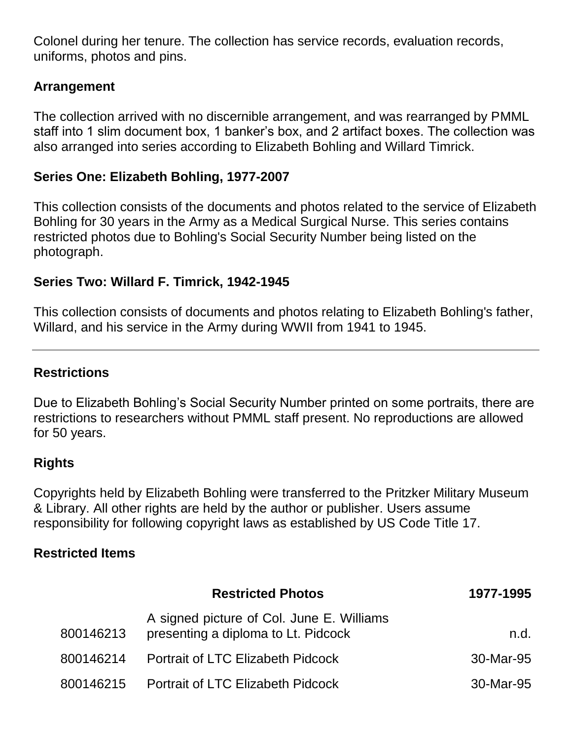Colonel during her tenure. The collection has service records, evaluation records, uniforms, photos and pins.

# **Arrangement**

The collection arrived with no discernible arrangement, and was rearranged by PMML staff into 1 slim document box, 1 banker's box, and 2 artifact boxes. The collection was also arranged into series according to Elizabeth Bohling and Willard Timrick.

#### **Series One: Elizabeth Bohling, 1977-2007**

This collection consists of the documents and photos related to the service of Elizabeth Bohling for 30 years in the Army as a Medical Surgical Nurse. This series contains restricted photos due to Bohling's Social Security Number being listed on the photograph.

#### **Series Two: Willard F. Timrick, 1942-1945**

This collection consists of documents and photos relating to Elizabeth Bohling's father, Willard, and his service in the Army during WWII from 1941 to 1945.

#### **Restrictions**

Due to Elizabeth Bohling's Social Security Number printed on some portraits, there are restrictions to researchers without PMML staff present. No reproductions are allowed for 50 years.

#### **Rights**

Copyrights held by Elizabeth Bohling were transferred to the Pritzker Military Museum & Library. All other rights are held by the author or publisher. Users assume responsibility for following copyright laws as established by US Code Title 17.

# **Restricted Items**

| 1977-1995 | <b>Restricted Photos</b>                                                         |           |
|-----------|----------------------------------------------------------------------------------|-----------|
| n.d.      | A signed picture of Col. June E. Williams<br>presenting a diploma to Lt. Pidcock | 800146213 |
| 30-Mar-95 | Portrait of LTC Elizabeth Pidcock                                                | 800146214 |
| 30-Mar-95 | Portrait of LTC Elizabeth Pidcock                                                | 800146215 |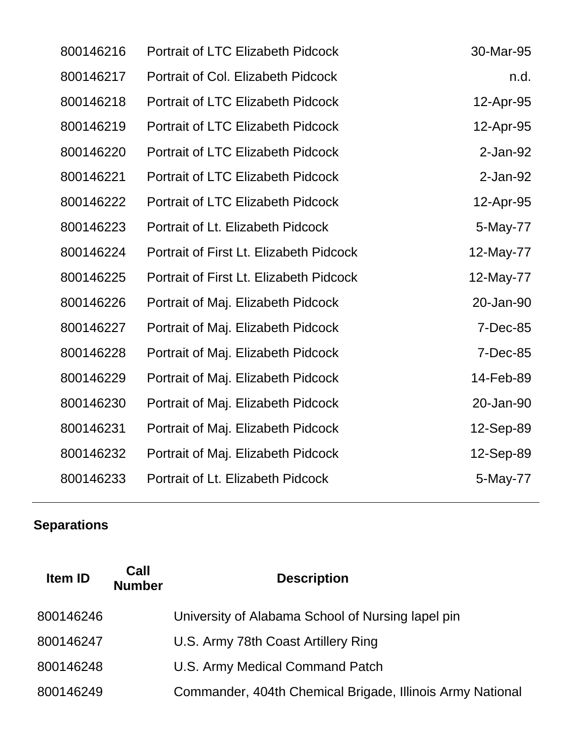| <b>Portrait of LTC Elizabeth Pidcock</b> | 30-Mar-95   |
|------------------------------------------|-------------|
| Portrait of Col. Elizabeth Pidcock       | n.d.        |
| <b>Portrait of LTC Elizabeth Pidcock</b> | 12-Apr-95   |
| <b>Portrait of LTC Elizabeth Pidcock</b> | 12-Apr-95   |
| <b>Portrait of LTC Elizabeth Pidcock</b> | $2$ -Jan-92 |
| <b>Portrait of LTC Elizabeth Pidcock</b> | 2-Jan-92    |
| <b>Portrait of LTC Elizabeth Pidcock</b> | 12-Apr-95   |
| Portrait of Lt. Elizabeth Pidcock        | 5-May-77    |
| Portrait of First Lt. Elizabeth Pidcock  | 12-May-77   |
| Portrait of First Lt. Elizabeth Pidcock  | 12-May-77   |
| Portrait of Maj. Elizabeth Pidcock       | 20-Jan-90   |
| Portrait of Maj. Elizabeth Pidcock       | 7-Dec-85    |
| Portrait of Maj. Elizabeth Pidcock       | 7-Dec-85    |
| Portrait of Maj. Elizabeth Pidcock       | 14-Feb-89   |
| Portrait of Maj. Elizabeth Pidcock       | 20-Jan-90   |
| Portrait of Maj. Elizabeth Pidcock       | 12-Sep-89   |
| Portrait of Maj. Elizabeth Pidcock       | 12-Sep-89   |
| Portrait of Lt. Elizabeth Pidcock        | 5-May-77    |
|                                          |             |

# **Separations**

| Item ID   | Call<br><b>Number</b> | <b>Description</b>                                        |
|-----------|-----------------------|-----------------------------------------------------------|
| 800146246 |                       | University of Alabama School of Nursing lapel pin         |
| 800146247 |                       | U.S. Army 78th Coast Artillery Ring                       |
| 800146248 |                       | U.S. Army Medical Command Patch                           |
| 800146249 |                       | Commander, 404th Chemical Brigade, Illinois Army National |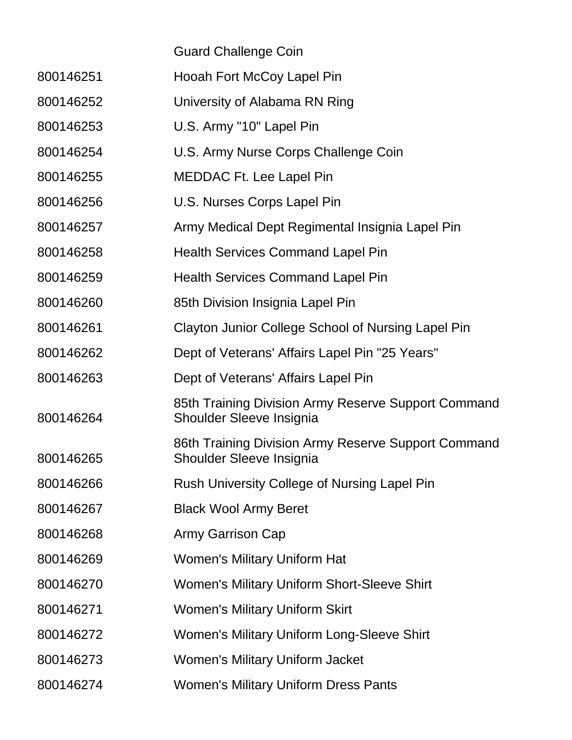|           | <b>Guard Challenge Coin</b>                                                     |
|-----------|---------------------------------------------------------------------------------|
| 800146251 | Hooah Fort McCoy Lapel Pin                                                      |
| 800146252 | University of Alabama RN Ring                                                   |
| 800146253 | U.S. Army "10" Lapel Pin                                                        |
| 800146254 | U.S. Army Nurse Corps Challenge Coin                                            |
| 800146255 | MEDDAC Ft. Lee Lapel Pin                                                        |
| 800146256 | U.S. Nurses Corps Lapel Pin                                                     |
| 800146257 | Army Medical Dept Regimental Insignia Lapel Pin                                 |
| 800146258 | <b>Health Services Command Lapel Pin</b>                                        |
| 800146259 | <b>Health Services Command Lapel Pin</b>                                        |
| 800146260 | 85th Division Insignia Lapel Pin                                                |
| 800146261 | Clayton Junior College School of Nursing Lapel Pin                              |
| 800146262 | Dept of Veterans' Affairs Lapel Pin "25 Years"                                  |
| 800146263 | Dept of Veterans' Affairs Lapel Pin                                             |
| 800146264 | 85th Training Division Army Reserve Support Command<br>Shoulder Sleeve Insignia |
| 800146265 | 86th Training Division Army Reserve Support Command<br>Shoulder Sleeve Insignia |
| 800146266 | Rush University College of Nursing Lapel Pin                                    |
| 800146267 | <b>Black Wool Army Beret</b>                                                    |
| 800146268 | Army Garrison Cap                                                               |
| 800146269 | <b>Women's Military Uniform Hat</b>                                             |
| 800146270 | Women's Military Uniform Short-Sleeve Shirt                                     |
| 800146271 | <b>Women's Military Uniform Skirt</b>                                           |
| 800146272 | Women's Military Uniform Long-Sleeve Shirt                                      |
| 800146273 | Women's Military Uniform Jacket                                                 |
| 800146274 | <b>Women's Military Uniform Dress Pants</b>                                     |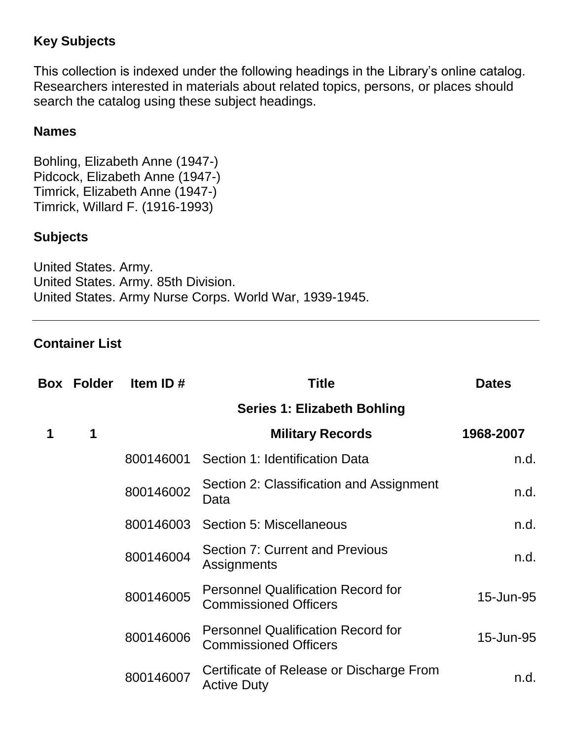# **Key Subjects**

This collection is indexed under the following headings in the Library's online catalog. Researchers interested in materials about related topics, persons, or places should search the catalog using these subject headings.

# **Names**

Bohling, Elizabeth Anne (1947-) Pidcock, Elizabeth Anne (1947-) Timrick, Elizabeth Anne (1947-) Timrick, Willard F. (1916-1993)

#### **Subjects**

United States. Army. United States. Army. 85th Division. United States. Army Nurse Corps. World War, 1939-1945.

#### **Container List**

|   | <b>Box Folder</b> | Item ID#  | <b>Title</b>                                                              | <b>Dates</b> |
|---|-------------------|-----------|---------------------------------------------------------------------------|--------------|
|   |                   |           | <b>Series 1: Elizabeth Bohling</b>                                        |              |
| 1 | 1                 |           | <b>Military Records</b>                                                   | 1968-2007    |
|   |                   | 800146001 | Section 1: Identification Data                                            | n.d.         |
|   |                   | 800146002 | Section 2: Classification and Assignment<br>Data                          | n.d.         |
|   |                   |           | 800146003 Section 5: Miscellaneous                                        | n.d.         |
|   |                   | 800146004 | Section 7: Current and Previous<br>Assignments                            | n.d.         |
|   |                   | 800146005 | <b>Personnel Qualification Record for</b><br><b>Commissioned Officers</b> | 15-Jun-95    |
|   |                   | 800146006 | <b>Personnel Qualification Record for</b><br><b>Commissioned Officers</b> | 15-Jun-95    |
|   |                   | 800146007 | Certificate of Release or Discharge From<br><b>Active Duty</b>            | n.d.         |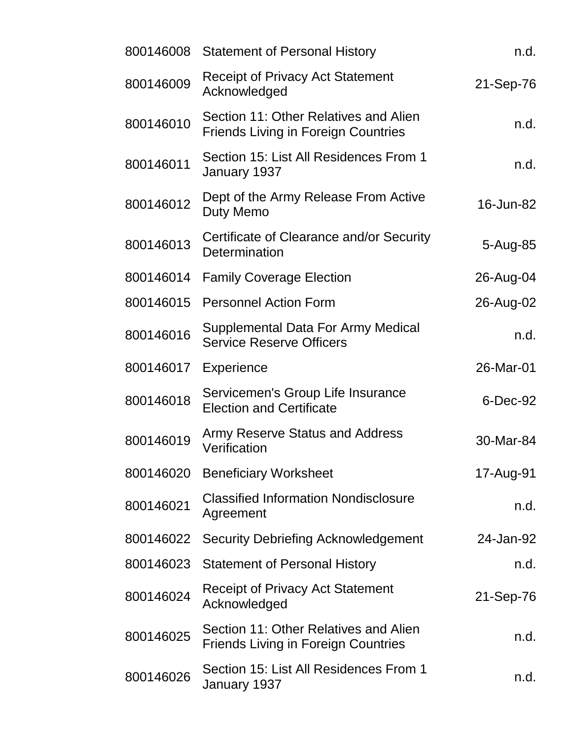| 800146008 | <b>Statement of Personal History</b>                                                | n.d.      |
|-----------|-------------------------------------------------------------------------------------|-----------|
| 800146009 | <b>Receipt of Privacy Act Statement</b><br>Acknowledged                             | 21-Sep-76 |
| 800146010 | Section 11: Other Relatives and Alien<br><b>Friends Living in Foreign Countries</b> | n.d.      |
| 800146011 | Section 15: List All Residences From 1<br>January 1937                              | n.d.      |
| 800146012 | Dept of the Army Release From Active<br>Duty Memo                                   | 16-Jun-82 |
| 800146013 | Certificate of Clearance and/or Security<br>Determination                           | 5-Aug-85  |
| 800146014 | <b>Family Coverage Election</b>                                                     | 26-Aug-04 |
| 800146015 | <b>Personnel Action Form</b>                                                        | 26-Aug-02 |
| 800146016 | Supplemental Data For Army Medical<br><b>Service Reserve Officers</b>               | n.d.      |
| 800146017 | Experience                                                                          | 26-Mar-01 |
| 800146018 | Servicemen's Group Life Insurance<br><b>Election and Certificate</b>                | 6-Dec-92  |
| 800146019 | <b>Army Reserve Status and Address</b><br>Verification                              | 30-Mar-84 |
|           | 800146020 Beneficiary Worksheet                                                     | 17-Aug-91 |
| 800146021 | <b>Classified Information Nondisclosure</b><br>Agreement                            | n.d.      |
| 800146022 | <b>Security Debriefing Acknowledgement</b>                                          | 24-Jan-92 |
| 800146023 | <b>Statement of Personal History</b>                                                | n.d.      |
| 800146024 | <b>Receipt of Privacy Act Statement</b><br>Acknowledged                             | 21-Sep-76 |
| 800146025 | Section 11: Other Relatives and Alien<br><b>Friends Living in Foreign Countries</b> | n.d.      |
| 800146026 | Section 15: List All Residences From 1<br>January 1937                              | n.d.      |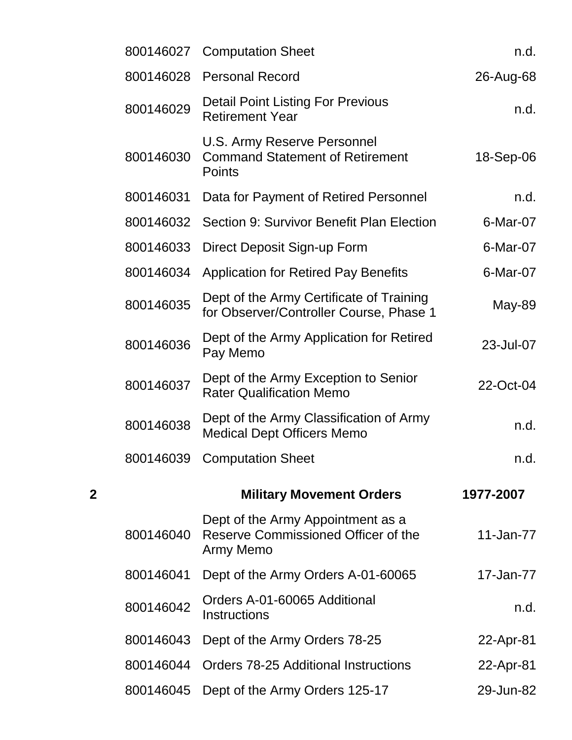| n.d.      | <b>Computation Sheet</b>                                                                      | 800146027 |
|-----------|-----------------------------------------------------------------------------------------------|-----------|
| 26-Aug-68 | <b>Personal Record</b>                                                                        | 800146028 |
| n.d.      | <b>Detail Point Listing For Previous</b><br><b>Retirement Year</b>                            | 800146029 |
| 18-Sep-06 | <b>U.S. Army Reserve Personnel</b><br><b>Command Statement of Retirement</b><br><b>Points</b> | 800146030 |
| n.d.      | Data for Payment of Retired Personnel                                                         | 800146031 |
| 6-Mar-07  | Section 9: Survivor Benefit Plan Election                                                     | 800146032 |
| 6-Mar-07  | Direct Deposit Sign-up Form                                                                   | 800146033 |
| 6-Mar-07  | <b>Application for Retired Pay Benefits</b>                                                   | 800146034 |
| May-89    | Dept of the Army Certificate of Training<br>for Observer/Controller Course, Phase 1           | 800146035 |
| 23-Jul-07 | Dept of the Army Application for Retired<br>Pay Memo                                          | 800146036 |
| 22-Oct-04 | Dept of the Army Exception to Senior<br><b>Rater Qualification Memo</b>                       | 800146037 |
| n.d.      | Dept of the Army Classification of Army<br><b>Medical Dept Officers Memo</b>                  | 800146038 |
| n.d.      | <b>Computation Sheet</b>                                                                      | 800146039 |
| 1977-2007 | <b>Military Movement Orders</b>                                                               | 2         |
| 11-Jan-77 | Dept of the Army Appointment as a<br>Reserve Commissioned Officer of the<br>Army Memo         | 800146040 |
| 17-Jan-77 | Dept of the Army Orders A-01-60065                                                            | 800146041 |
| n.d.      | Orders A-01-60065 Additional<br><b>Instructions</b>                                           | 800146042 |
| 22-Apr-81 | Dept of the Army Orders 78-25                                                                 | 800146043 |
| 22-Apr-81 | Orders 78-25 Additional Instructions                                                          | 800146044 |
| 29-Jun-82 | Dept of the Army Orders 125-17                                                                | 800146045 |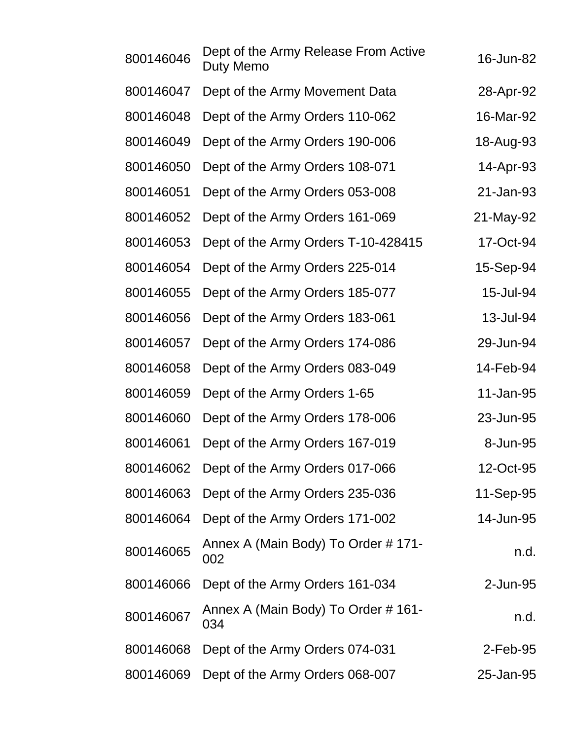| 800146046 | Dept of the Army Release From Active<br>Duty Memo | 16-Jun-82   |
|-----------|---------------------------------------------------|-------------|
| 800146047 | Dept of the Army Movement Data                    | 28-Apr-92   |
| 800146048 | Dept of the Army Orders 110-062                   | 16-Mar-92   |
| 800146049 | Dept of the Army Orders 190-006                   | 18-Aug-93   |
| 800146050 | Dept of the Army Orders 108-071                   | 14-Apr-93   |
| 800146051 | Dept of the Army Orders 053-008                   | 21-Jan-93   |
| 800146052 | Dept of the Army Orders 161-069                   | 21-May-92   |
| 800146053 | Dept of the Army Orders T-10-428415               | 17-Oct-94   |
| 800146054 | Dept of the Army Orders 225-014                   | 15-Sep-94   |
| 800146055 | Dept of the Army Orders 185-077                   | 15-Jul-94   |
| 800146056 | Dept of the Army Orders 183-061                   | 13-Jul-94   |
| 800146057 | Dept of the Army Orders 174-086                   | 29-Jun-94   |
| 800146058 | Dept of the Army Orders 083-049                   | 14-Feb-94   |
| 800146059 | Dept of the Army Orders 1-65                      | 11-Jan-95   |
| 800146060 | Dept of the Army Orders 178-006                   | 23-Jun-95   |
| 800146061 | Dept of the Army Orders 167-019                   | 8-Jun-95    |
| 800146062 | Dept of the Army Orders 017-066                   | 12-Oct-95   |
| 800146063 | Dept of the Army Orders 235-036                   | 11-Sep-95   |
| 800146064 | Dept of the Army Orders 171-002                   | 14-Jun-95   |
| 800146065 | Annex A (Main Body) To Order # 171-<br>002        | n.d.        |
| 800146066 | Dept of the Army Orders 161-034                   | 2-Jun-95    |
| 800146067 | Annex A (Main Body) To Order # 161-<br>034        | n.d.        |
| 800146068 | Dept of the Army Orders 074-031                   | $2$ -Feb-95 |
| 800146069 | Dept of the Army Orders 068-007                   | 25-Jan-95   |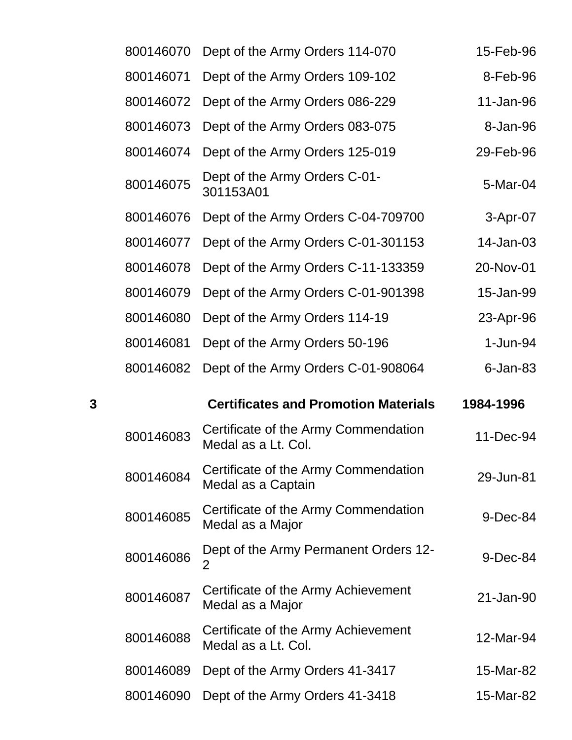|   | 800146070 | Dept of the Army Orders 114-070                             | 15-Feb-96   |
|---|-----------|-------------------------------------------------------------|-------------|
|   | 800146071 | Dept of the Army Orders 109-102                             | 8-Feb-96    |
|   | 800146072 | Dept of the Army Orders 086-229                             | 11-Jan-96   |
|   | 800146073 | Dept of the Army Orders 083-075                             | 8-Jan-96    |
|   | 800146074 | Dept of the Army Orders 125-019                             | 29-Feb-96   |
|   | 800146075 | Dept of the Army Orders C-01-<br>301153A01                  | 5-Mar-04    |
|   | 800146076 | Dept of the Army Orders C-04-709700                         | 3-Apr-07    |
|   | 800146077 | Dept of the Army Orders C-01-301153                         | 14-Jan-03   |
|   | 800146078 | Dept of the Army Orders C-11-133359                         | 20-Nov-01   |
|   | 800146079 | Dept of the Army Orders C-01-901398                         | 15-Jan-99   |
|   | 800146080 | Dept of the Army Orders 114-19                              | 23-Apr-96   |
|   | 800146081 | Dept of the Army Orders 50-196                              | 1-Jun-94    |
|   |           |                                                             |             |
|   | 800146082 | Dept of the Army Orders C-01-908064                         | $6$ -Jan-83 |
| 3 |           | <b>Certificates and Promotion Materials</b>                 | 1984-1996   |
|   | 800146083 | Certificate of the Army Commendation<br>Medal as a Lt. Col. | 11-Dec-94   |
|   | 800146084 | Certificate of the Army Commendation<br>Medal as a Captain  | 29-Jun-81   |
|   | 800146085 | Certificate of the Army Commendation<br>Medal as a Major    | 9-Dec-84    |
|   | 800146086 | Dept of the Army Permanent Orders 12-<br>$\overline{2}$     | 9-Dec-84    |
|   | 800146087 | Certificate of the Army Achievement<br>Medal as a Major     | 21-Jan-90   |
|   | 800146088 | Certificate of the Army Achievement<br>Medal as a Lt. Col.  | 12-Mar-94   |

Dept of the Army Orders 41-3418 15-Mar-82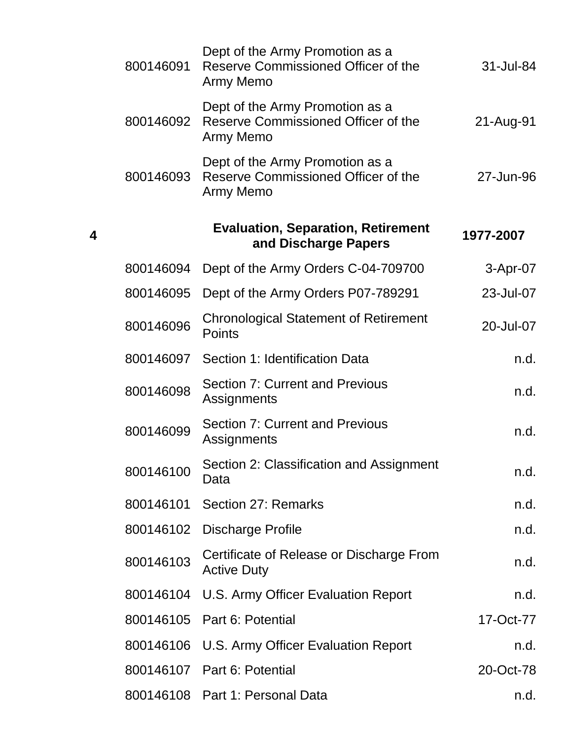| 800146091 | Dept of the Army Promotion as a<br>Reserve Commissioned Officer of the<br>Army Memo | 31-Jul-84  |
|-----------|-------------------------------------------------------------------------------------|------------|
| 800146092 | Dept of the Army Promotion as a<br>Reserve Commissioned Officer of the<br>Army Memo | 21-Aug-91  |
| 800146093 | Dept of the Army Promotion as a<br>Reserve Commissioned Officer of the<br>Army Memo | 27-Jun-96  |
|           | <b>Evaluation, Separation, Retirement</b><br>and Discharge Papers                   | 1977-2007  |
| 800146094 | Dept of the Army Orders C-04-709700                                                 | $3-Apr-07$ |
| 800146095 | Dept of the Army Orders P07-789291                                                  | 23-Jul-07  |
| 800146096 | <b>Chronological Statement of Retirement</b><br><b>Points</b>                       | 20-Jul-07  |
| 800146097 | Section 1: Identification Data                                                      | n.d.       |
| 800146098 | <b>Section 7: Current and Previous</b><br>Assignments                               | n.d.       |
| 800146099 | <b>Section 7: Current and Previous</b><br>Assignments                               | n.d.       |
| 800146100 | Section 2: Classification and Assignment<br>Data                                    | n.d.       |
| 800146101 | Section 27: Remarks                                                                 | n.d.       |
| 800146102 | <b>Discharge Profile</b>                                                            | n.d.       |
| 800146103 | Certificate of Release or Discharge From<br><b>Active Duty</b>                      | n.d.       |
| 800146104 | U.S. Army Officer Evaluation Report                                                 | n.d.       |
| 800146105 | Part 6: Potential                                                                   | 17-Oct-77  |
| 800146106 | U.S. Army Officer Evaluation Report                                                 | n.d.       |
| 800146107 | Part 6: Potential                                                                   | 20-Oct-78  |
|           | 800146108 Part 1: Personal Data                                                     | n.d.       |

**4**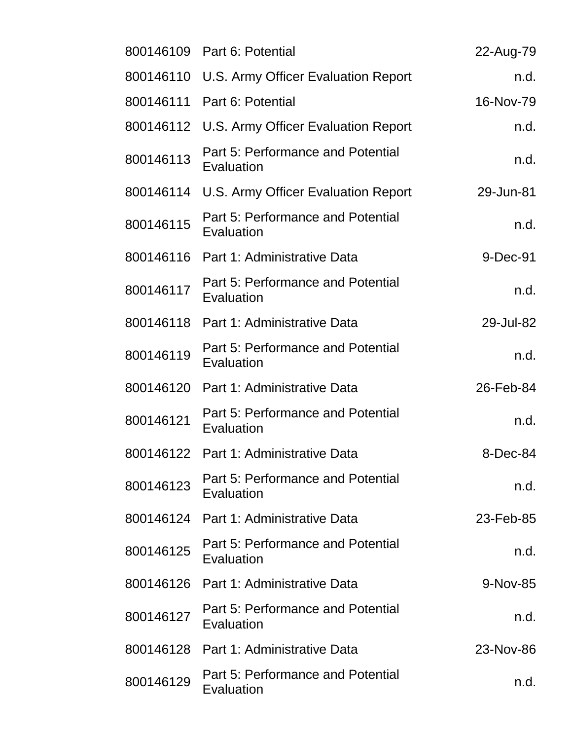|           | 800146109    Part 6: Potential                  | 22-Aug-79 |
|-----------|-------------------------------------------------|-----------|
| 800146110 | U.S. Army Officer Evaluation Report             | n.d.      |
| 800146111 | Part 6: Potential                               | 16-Nov-79 |
| 800146112 | U.S. Army Officer Evaluation Report             | n.d.      |
| 800146113 | Part 5: Performance and Potential<br>Evaluation | n.d.      |
| 800146114 | U.S. Army Officer Evaluation Report             | 29-Jun-81 |
| 800146115 | Part 5: Performance and Potential<br>Evaluation | n.d.      |
| 800146116 | Part 1: Administrative Data                     | 9-Dec-91  |
| 800146117 | Part 5: Performance and Potential<br>Evaluation | n.d.      |
| 800146118 | Part 1: Administrative Data                     | 29-Jul-82 |
| 800146119 | Part 5: Performance and Potential<br>Evaluation | n.d.      |
|           | 800146120 Part 1: Administrative Data           | 26-Feb-84 |
| 800146121 | Part 5: Performance and Potential<br>Evaluation | n.d.      |
|           | 800146122 Part 1: Administrative Data           | 8-Dec-84  |
| 800146123 | Part 5: Performance and Potential<br>Evaluation | n.d.      |
|           | 800146124 Part 1: Administrative Data           | 23-Feb-85 |
| 800146125 | Part 5: Performance and Potential<br>Evaluation | n.d.      |
|           | 800146126 Part 1: Administrative Data           | 9-Nov-85  |
| 800146127 | Part 5: Performance and Potential<br>Evaluation | n.d.      |
|           | 800146128 Part 1: Administrative Data           | 23-Nov-86 |
| 800146129 | Part 5: Performance and Potential<br>Evaluation | n.d.      |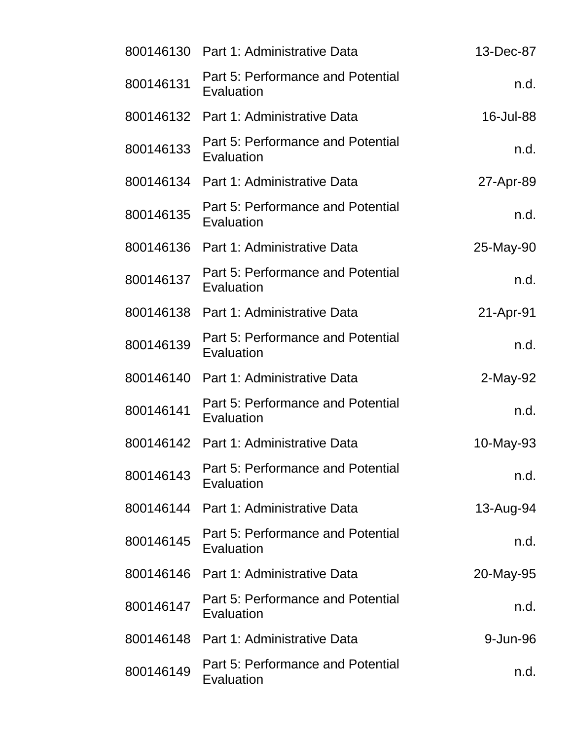|           | 800146130 Part 1: Administrative Data           | 13-Dec-87 |
|-----------|-------------------------------------------------|-----------|
| 800146131 | Part 5: Performance and Potential<br>Evaluation | n.d.      |
|           | 800146132 Part 1: Administrative Data           | 16-Jul-88 |
| 800146133 | Part 5: Performance and Potential<br>Evaluation | n.d.      |
| 800146134 | Part 1: Administrative Data                     | 27-Apr-89 |
| 800146135 | Part 5: Performance and Potential<br>Evaluation | n.d.      |
| 800146136 | Part 1: Administrative Data                     | 25-May-90 |
| 800146137 | Part 5: Performance and Potential<br>Evaluation | n.d.      |
| 800146138 | Part 1: Administrative Data                     | 21-Apr-91 |
| 800146139 | Part 5: Performance and Potential<br>Evaluation | n.d.      |
| 800146140 | Part 1: Administrative Data                     | 2-May-92  |
| 800146141 | Part 5: Performance and Potential<br>Evaluation | n.d.      |
|           | 800146142 Part 1: Administrative Data           | 10-May-93 |
| 800146143 | Part 5: Performance and Potential<br>Evaluation | n.d.      |
| 800146144 | Part 1: Administrative Data                     | 13-Aug-94 |
| 800146145 | Part 5: Performance and Potential<br>Evaluation | n.d.      |
| 800146146 | Part 1: Administrative Data                     | 20-May-95 |
| 800146147 | Part 5: Performance and Potential<br>Evaluation | n.d.      |
|           | 800146148 Part 1: Administrative Data           | 9-Jun-96  |
| 800146149 | Part 5: Performance and Potential<br>Evaluation | n.d.      |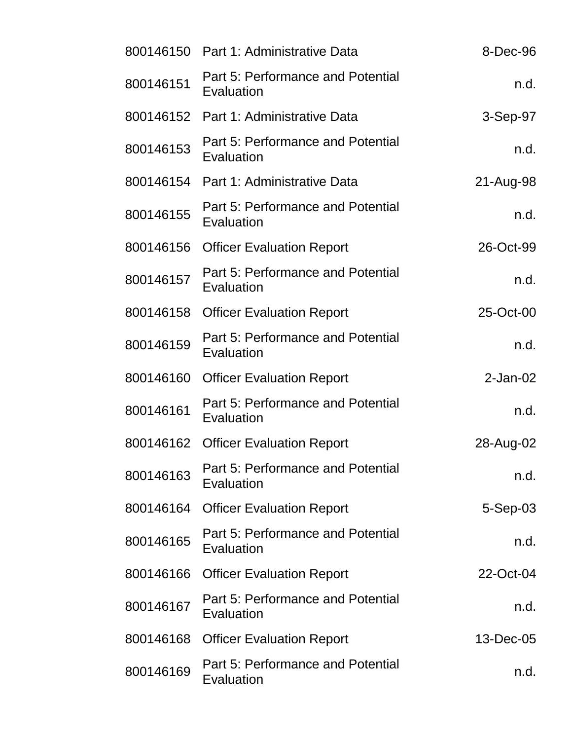|           | 800146150 Part 1: Administrative Data           | 8-Dec-96    |
|-----------|-------------------------------------------------|-------------|
| 800146151 | Part 5: Performance and Potential<br>Evaluation | n.d.        |
|           | 800146152 Part 1: Administrative Data           | 3-Sep-97    |
| 800146153 | Part 5: Performance and Potential<br>Evaluation | n.d.        |
| 800146154 | Part 1: Administrative Data                     | 21-Aug-98   |
| 800146155 | Part 5: Performance and Potential<br>Evaluation | n.d.        |
| 800146156 | <b>Officer Evaluation Report</b>                | 26-Oct-99   |
| 800146157 | Part 5: Performance and Potential<br>Evaluation | n.d.        |
| 800146158 | <b>Officer Evaluation Report</b>                | 25-Oct-00   |
| 800146159 | Part 5: Performance and Potential<br>Evaluation | n.d.        |
| 800146160 | <b>Officer Evaluation Report</b>                | $2$ -Jan-02 |
| 800146161 | Part 5: Performance and Potential<br>Evaluation | n.d.        |
| 800146162 | <b>Officer Evaluation Report</b>                | 28-Aug-02   |
| 800146163 | Part 5: Performance and Potential<br>Evaluation | n.d.        |
| 800146164 | <b>Officer Evaluation Report</b>                | $5-Sep-03$  |
| 800146165 | Part 5: Performance and Potential<br>Evaluation | n.d.        |
| 800146166 | <b>Officer Evaluation Report</b>                | 22-Oct-04   |
| 800146167 | Part 5: Performance and Potential<br>Evaluation | n.d.        |
| 800146168 | <b>Officer Evaluation Report</b>                | 13-Dec-05   |
| 800146169 | Part 5: Performance and Potential<br>Evaluation | n.d.        |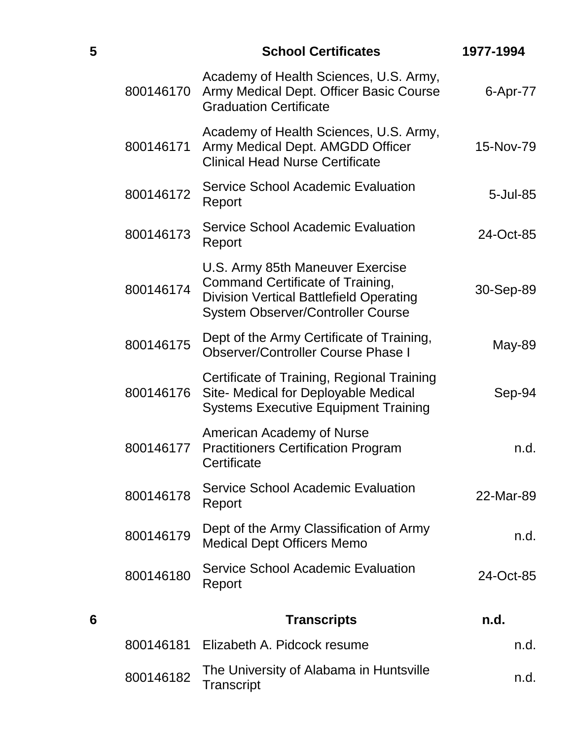| 5 |           | <b>School Certificates</b>                                                                                                                                                | 1977-1994 |
|---|-----------|---------------------------------------------------------------------------------------------------------------------------------------------------------------------------|-----------|
|   | 800146170 | Academy of Health Sciences, U.S. Army,<br>Army Medical Dept. Officer Basic Course<br><b>Graduation Certificate</b>                                                        | 6-Apr-77  |
|   | 800146171 | Academy of Health Sciences, U.S. Army,<br>Army Medical Dept. AMGDD Officer<br><b>Clinical Head Nurse Certificate</b>                                                      | 15-Nov-79 |
|   | 800146172 | <b>Service School Academic Evaluation</b><br>Report                                                                                                                       | 5-Jul-85  |
|   | 800146173 | <b>Service School Academic Evaluation</b><br>Report                                                                                                                       | 24-Oct-85 |
|   | 800146174 | U.S. Army 85th Maneuver Exercise<br><b>Command Certificate of Training,</b><br><b>Division Vertical Battlefield Operating</b><br><b>System Observer/Controller Course</b> | 30-Sep-89 |
|   | 800146175 | Dept of the Army Certificate of Training,<br><b>Observer/Controller Course Phase I</b>                                                                                    | May-89    |
|   | 800146176 | Certificate of Training, Regional Training<br>Site- Medical for Deployable Medical<br><b>Systems Executive Equipment Training</b>                                         | Sep-94    |
|   | 800146177 | American Academy of Nurse<br><b>Practitioners Certification Program</b><br>Certificate                                                                                    | n.d.      |
|   | 800146178 | <b>Service School Academic Evaluation</b><br>Report                                                                                                                       | 22-Mar-89 |
|   | 800146179 | Dept of the Army Classification of Army<br><b>Medical Dept Officers Memo</b>                                                                                              | n.d.      |
|   | 800146180 | <b>Service School Academic Evaluation</b><br>Report                                                                                                                       | 24-Oct-85 |
| 6 |           | <b>Transcripts</b>                                                                                                                                                        | n.d.      |
|   | 800146181 | Elizabeth A. Pidcock resume                                                                                                                                               | n.d.      |
|   | 800146182 | The University of Alabama in Huntsville<br>Transcript                                                                                                                     | n.d.      |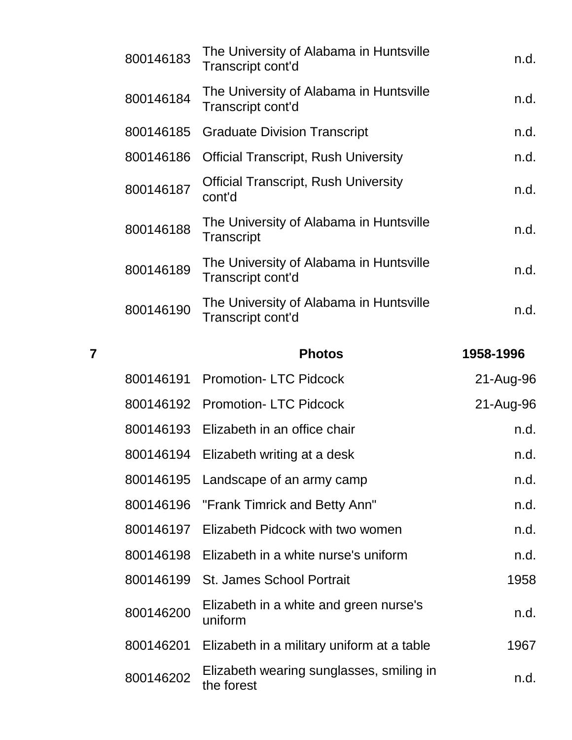| 800146183 | The University of Alabama in Huntsville<br>Transcript cont'd | n.d. |
|-----------|--------------------------------------------------------------|------|
| 800146184 | The University of Alabama in Huntsville<br>Transcript cont'd | n.d. |
| 800146185 | <b>Graduate Division Transcript</b>                          | n.d. |
|           | 800146186 Official Transcript, Rush University               | n.d. |
| 800146187 | <b>Official Transcript, Rush University</b><br>cont'd        | n.d. |
| 800146188 | The University of Alabama in Huntsville<br>Transcript        | n.d. |
| 800146189 | The University of Alabama in Huntsville<br>Transcript cont'd | n.d. |
| 800146190 | The University of Alabama in Huntsville<br>Transcript cont'd | n.d. |

| 7 |           | <b>Photos</b>                                          | 1958-1996 |
|---|-----------|--------------------------------------------------------|-----------|
|   |           | 800146191 Promotion-LTC Pidcock                        | 21-Aug-96 |
|   |           | 800146192 Promotion-LTC Pidcock                        | 21-Aug-96 |
|   |           | 800146193 Elizabeth in an office chair                 | n.d.      |
|   |           | 800146194 Elizabeth writing at a desk                  | n.d.      |
|   | 800146195 | Landscape of an army camp                              | n.d.      |
|   | 800146196 | "Frank Timrick and Betty Ann"                          | n.d.      |
|   | 800146197 | Elizabeth Pidcock with two women                       | n.d.      |
|   | 800146198 | Elizabeth in a white nurse's uniform                   | n.d.      |
|   | 800146199 | <b>St. James School Portrait</b>                       | 1958      |
|   | 800146200 | Elizabeth in a white and green nurse's<br>uniform      | n.d.      |
|   | 800146201 | Elizabeth in a military uniform at a table             | 1967      |
|   | 800146202 | Elizabeth wearing sunglasses, smiling in<br>the forest | n.d.      |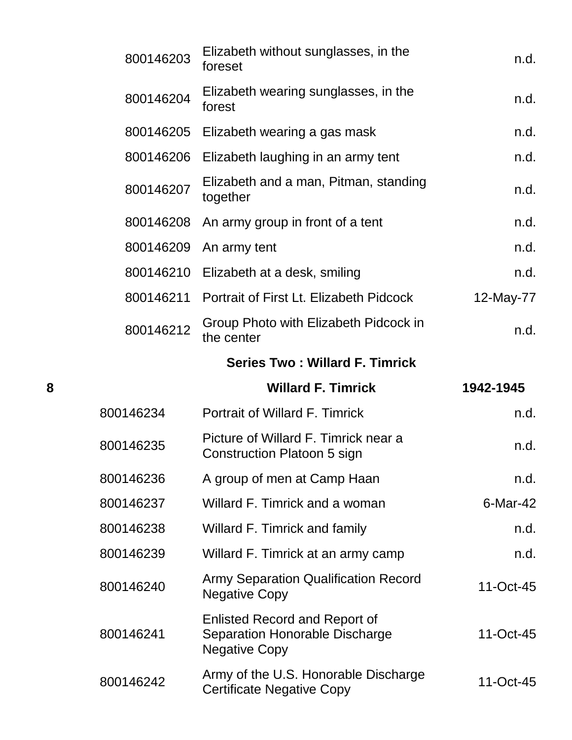|   | 800146203 | Elizabeth without sunglasses, in the<br>foreset                                                       | n.d.      |
|---|-----------|-------------------------------------------------------------------------------------------------------|-----------|
|   | 800146204 | Elizabeth wearing sunglasses, in the<br>forest                                                        | n.d.      |
|   | 800146205 | Elizabeth wearing a gas mask                                                                          | n.d.      |
|   | 800146206 | Elizabeth laughing in an army tent                                                                    | n.d.      |
|   | 800146207 | Elizabeth and a man, Pitman, standing<br>together                                                     | n.d.      |
|   | 800146208 | An army group in front of a tent                                                                      | n.d.      |
|   | 800146209 | An army tent                                                                                          | n.d.      |
|   | 800146210 | Elizabeth at a desk, smiling                                                                          | n.d.      |
|   | 800146211 | Portrait of First Lt. Elizabeth Pidcock                                                               | 12-May-77 |
|   | 800146212 | Group Photo with Elizabeth Pidcock in<br>the center                                                   | n.d.      |
|   |           |                                                                                                       |           |
|   |           | <b>Series Two: Willard F. Timrick</b>                                                                 |           |
| 8 |           | <b>Willard F. Timrick</b>                                                                             | 1942-1945 |
|   | 800146234 | Portrait of Willard F. Timrick                                                                        | n.d.      |
|   | 800146235 | Picture of Willard F. Timrick near a<br>Construction Platoon 5 sign                                   | n.d.      |
|   | 800146236 | A group of men at Camp Haan                                                                           | n.d.      |
|   | 800146237 | Willard F. Timrick and a woman                                                                        | 6-Mar-42  |
|   | 800146238 | Willard F. Timrick and family                                                                         | n.d.      |
|   | 800146239 | Willard F. Timrick at an army camp                                                                    | n.d.      |
|   | 800146240 | <b>Army Separation Qualification Record</b><br><b>Negative Copy</b>                                   | 11-Oct-45 |
|   | 800146241 | <b>Enlisted Record and Report of</b><br><b>Separation Honorable Discharge</b><br><b>Negative Copy</b> | 11-Oct-45 |